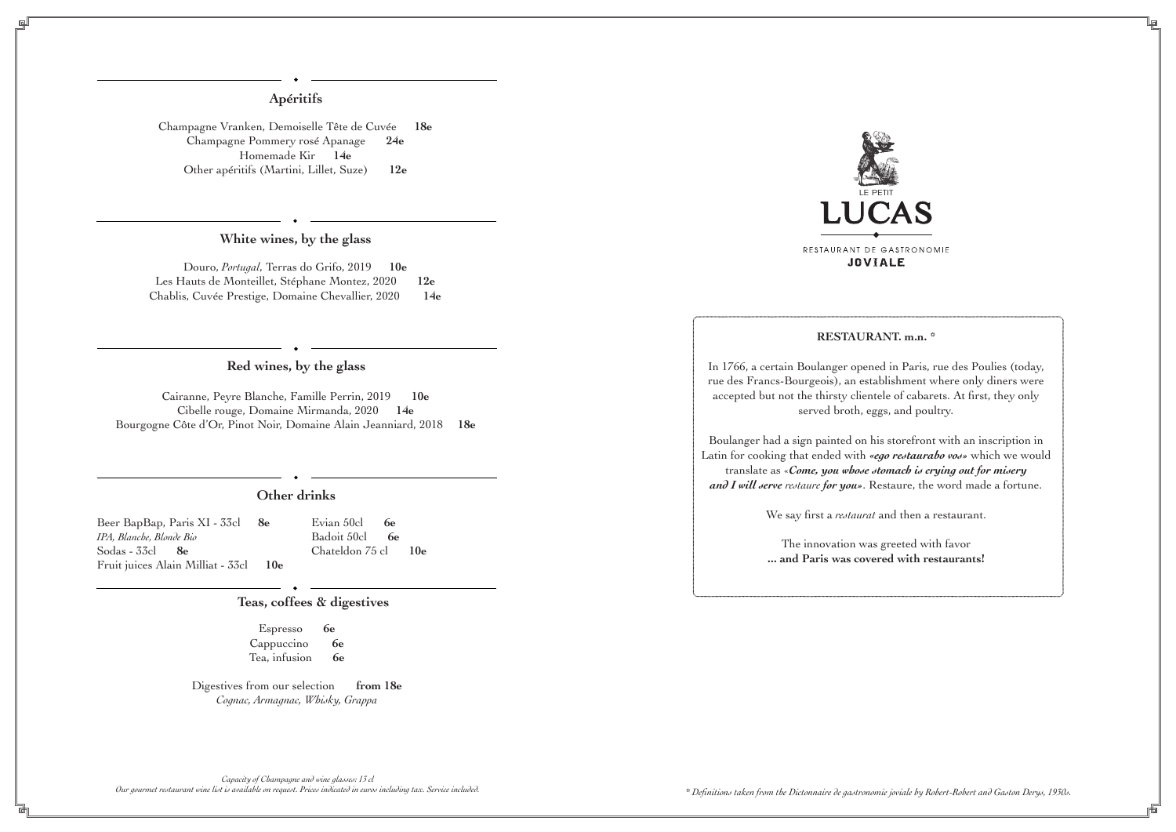# **Apéritifs**

# **White wines, by the glass**

# **Red wines, by the glass**

# **Other drinks**

## **Teas, coffees & digestives**

Champagne Vranken, Demoiselle Tête de Cuvée **18e** Champagne Pommery rosé Apanage **24e** Homemade Kir **14e** Other apéritifs (Martini, Lillet, Suze) **12e**

Beer BapBap, Paris XI - 33cl **8e** *IPA, Blanche, Blonde Bio* Sodas - 33cl **8e** Fruit juices Alain Milliat - 33cl **10e**

> Espresso **6e** Cappuccino **6e** Tea, infusion **6e**

Digestives from our selection **from 18e** *Cognac, Armagnac, Whisky, Grappa*

## **RESTAURANT. m.n. \***

In 1766, a certain Boulanger opened in Paris, rue des Poulies (today, rue des Francs-Bourgeois), an establishment where only diners were accepted but not the thirsty clientele of cabarets. At first, they only served broth, eggs, and poultry.

Boulanger had a sign painted on his storefront with an inscription in Latin for cooking that ended with *«ego restaurabo vos»* which we would translate as «*Come, you whose stomach is crying out for misery and I will serve restaure for you»*. Restaure, the word made a fortune.

We say first a *restaurat* and then a restaurant.

The innovation was greeted with favor **... and Paris was covered with restaurants!**

Evian 50cl **6e** Badoit 50cl **6e** Chateldon 75 cl **10e**

*\* Definitions taken from the Dictonnaire de gastronomie joviale by Robert-Robert and Gaston Derys, 1930s.*



Douro, *Portugal*, Terras do Grifo, 2019 **10e** Les Hauts de Monteillet, Stéphane Montez, 2020 **12e**  Chablis, Cuvée Prestige, Domaine Chevallier, 2020 **14e**

Cairanne, Peyre Blanche, Famille Perrin, 2019 **10e** Cibelle rouge, Domaine Mirmanda, 2020 **14e** Bourgogne Côte d'Or, Pinot Noir, Domaine Alain Jeanniard, 2018 **18e**